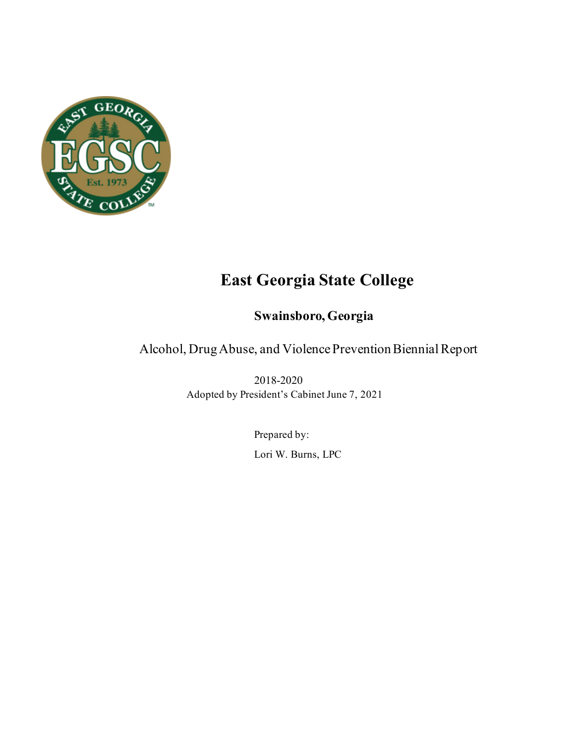

# **East Georgia State College**

## **Swainsboro, Georgia**

Alcohol, Drug Abuse, and Violence Prevention Biennial Report

2018-2020 Adopted by President's Cabinet June 7, 2021

> Prepared by: Lori W. Burns, LPC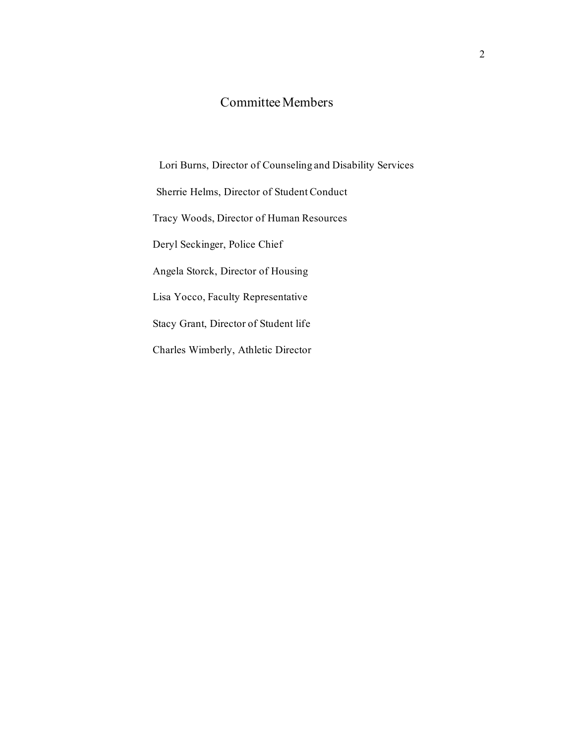## Committee Members

Lori Burns, Director of Counseling and Disability Services Sherrie Helms, Director of Student Conduct Tracy Woods, Director of Human Resources Deryl Seckinger, Police Chief Angela Storck, Director of Housing Lisa Yocco, Faculty Representative Stacy Grant, Director of Student life Charles Wimberly, Athletic Director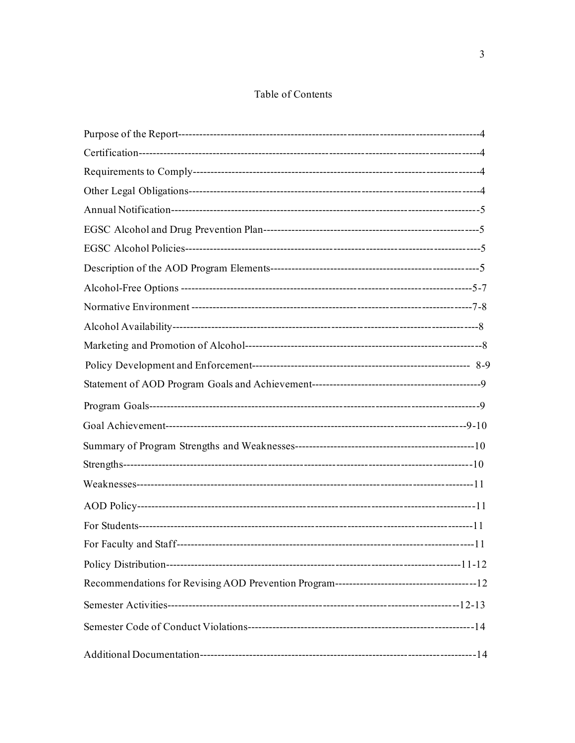## Table of Contents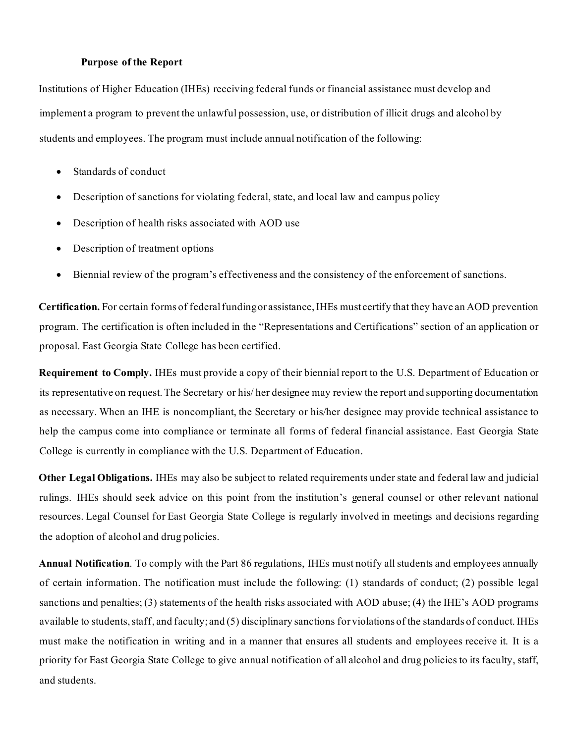#### **Purpose of the Report**

Institutions of Higher Education (IHEs) receiving federal funds or financial assistance must develop and implement a program to prevent the unlawful possession, use, or distribution of illicit drugs and alcohol by students and employees. The program must include annual notification of the following:

- Standards of conduct
- Description of sanctions for violating federal, state, and local law and campus policy
- Description of health risks associated with AOD use
- Description of treatment options
- Biennial review of the program's effectiveness and the consistency of the enforcement of sanctions.

**Certification.** For certain forms of federal funding or assistance, IHEs must certify that they have an AOD prevention program. The certification is often included in the "Representations and Certifications" section of an application or proposal. East Georgia State College has been certified.

**Requirement to Comply.** IHEs must provide a copy of their biennial report to the U.S. Department of Education or its representative on request. The Secretary or his/ her designee may review the report and supporting documentation as necessary. When an IHE is noncompliant, the Secretary or his/her designee may provide technical assistance to help the campus come into compliance or terminate all forms of federal financial assistance. East Georgia State College is currently in compliance with the U.S. Department of Education.

**Other Legal Obligations.** IHEs may also be subject to related requirements under state and federal law and judicial rulings. IHEs should seek advice on this point from the institution's general counsel or other relevant national resources. Legal Counsel for East Georgia State College is regularly involved in meetings and decisions regarding the adoption of alcohol and drug policies.

**Annual Notification**. To comply with the Part 86 regulations, IHEs must notify all students and employees annually of certain information. The notification must include the following: (1) standards of conduct; (2) possible legal sanctions and penalties; (3) statements of the health risks associated with AOD abuse; (4) the IHE's AOD programs available to students, staff, and faculty; and (5) disciplinary sanctions for violations of the standards of conduct. IHEs must make the notification in writing and in a manner that ensures all students and employees receive it. It is a priority for East Georgia State College to give annual notification of all alcohol and drug policies to its faculty, staff, and students.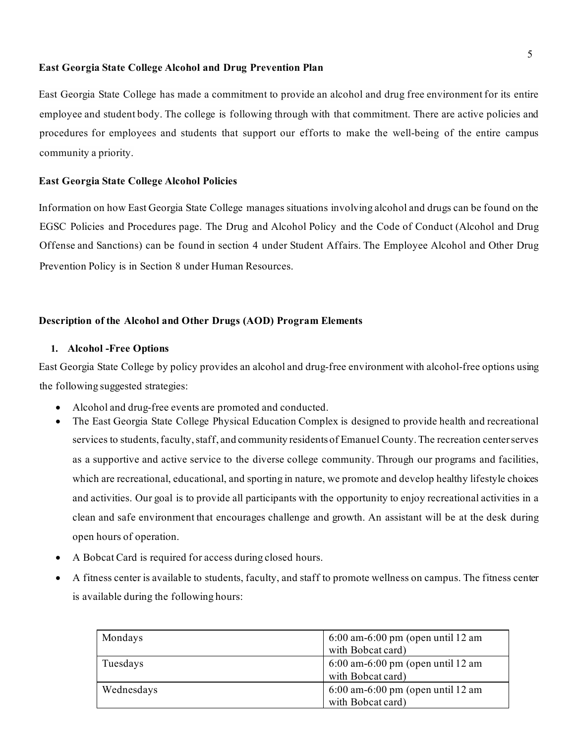#### **East Georgia State College Alcohol and Drug Prevention Plan**

East Georgia State College has made a commitment to provide an alcohol and drug free environment for its entire employee and student body. The college is following through with that commitment. There are active policies and procedures for employees and students that support our efforts to make the well-being of the entire campus community a priority.

#### **East Georgia State College Alcohol Policies**

Information on how East Georgia State College manages situations involving alcohol and drugs can be found on the EGSC [Policies and Procedures page.](http://www.ega.edu/offices/presidents_office/policies_and_procedures_of_the_college) The Drug and Alcohol Policy and the Code of Conduct (Alcohol and Drug Offense and Sanctions) can be found in section 4 under Student Affairs. The Employee Alcohol and Other Drug Prevention Policy is in Section 8 under Human Resources.

#### **Description of the Alcohol and Other Drugs (AOD) Program Elements**

#### **1. Alcohol -Free Options**

East Georgia State College by policy provides an alcohol and drug-free environment with alcohol-free options using the following suggested strategies:

- Alcohol and drug-free events are promoted and conducted.
- The East Georgia State College Physical Education Complex is designed to provide health and recreational services to students, faculty, staff, and community residents of Emanuel County. The recreation center serves as a supportive and active service to the diverse college community. Through our programs and facilities, which are recreational, educational, and sporting in nature, we promote and develop healthy lifestyle choices and activities. Our goal is to provide all participants with the opportunity to enjoy recreational activities in a clean and safe environment that encourages challenge and growth. An assistant will be at the desk during open hours of operation.
- A Bobcat Card is required for access during closed hours.
- A fitness center is available to students, faculty, and staff to promote wellness on campus. The fitness center is available during the following hours:

| Mondays    | $6:00$ am- $6:00$ pm (open until 12 am |  |
|------------|----------------------------------------|--|
|            | with Bobcat card)                      |  |
| Tuesdays   | $6:00$ am- $6:00$ pm (open until 12 am |  |
|            | with Bobcat card)                      |  |
| Wednesdays | $6:00$ am- $6:00$ pm (open until 12 am |  |
|            | with Bobcat card)                      |  |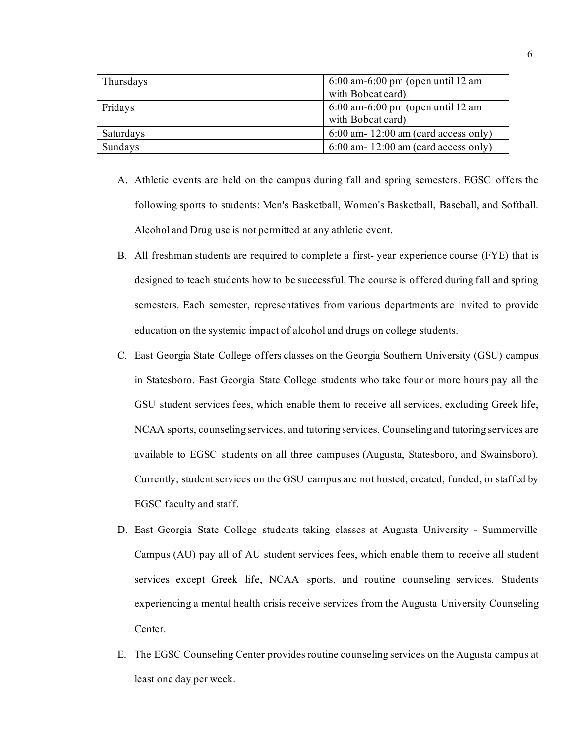| Thursdays | $6:00$ am- $6:00$ pm (open until 12 am |  |  |
|-----------|----------------------------------------|--|--|
|           | with Bobcat card)                      |  |  |
| Fridays   | $6:00$ am- $6:00$ pm (open until 12 am |  |  |
|           | with Bobcat card)                      |  |  |
| Saturdays | $6:00$ am- 12:00 am (card access only) |  |  |
| Sundays   | $6:00$ am- 12:00 am (card access only) |  |  |

- A. Athletic events are held on the campus during fall and spring semesters. EGSC offers the following sports to students: Men's Basketball, Women's Basketball, Baseball, and Softball. Alcohol and Drug use is not permitted at any athletic event.
- B. All freshman students are required to complete a first- year experience course (FYE) that is designed to teach students how to be successful. The course is offered during fall and spring semesters. Each semester, representatives from various departments are invited to provide education on the systemic impact of alcohol and drugs on college students.
- C. East Georgia State College offers classes on the Georgia Southern University (GSU) campus in Statesboro. East Georgia State College students who take four or more hours pay all the GSU student services fees, which enable them to receive all services, excluding Greek life, NCAA sports, counseling services, and tutoring services. Counseling and tutoring services are available to EGSC students on all three campuses (Augusta, Statesboro, and Swainsboro). Currently, student services on the GSU campus are not hosted, created, funded, or staffed by EGSC faculty and staff.
- D. East Georgia State College students taking classes at Augusta University Summerville Campus (AU) pay all of AU student services fees, which enable them to receive all student services except Greek life, NCAA sports, and routine counseling services. Students experiencing a mental health crisis receive services from the Augusta University Counseling Center.
- E. The EGSC Counseling Center provides routine counseling services on the Augusta campus at least one day per week.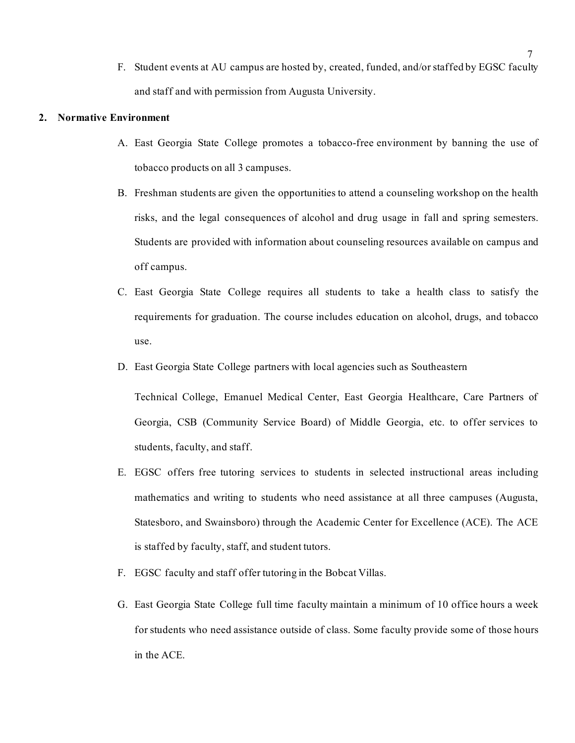F. Student events at AU campus are hosted by, created, funded, and/or staffed by EGSC faculty and staff and with permission from Augusta University.

#### **2. Normative Environment**

- A. East Georgia State College promotes a tobacco-free environment by banning the use of tobacco products on all 3 campuses.
- B. Freshman students are given the opportunities to attend a counseling workshop on the health risks, and the legal consequences of alcohol and drug usage in fall and spring semesters. Students are provided with information about counseling resources available on campus and off campus.
- C. East Georgia State College requires all students to take a health class to satisfy the requirements for graduation. The course includes education on alcohol, drugs, and tobacco use.
- D. East Georgia State College partners with local agencies such as Southeastern

Technical College, Emanuel Medical Center, East Georgia Healthcare, Care Partners of Georgia, CSB (Community Service Board) of Middle Georgia, etc. to offer services to students, faculty, and staff.

- E. EGSC offers free tutoring services to students in selected instructional areas including mathematics and writing to students who need assistance at all three campuses (Augusta, Statesboro, and Swainsboro) through the Academic Center for Excellence (ACE). The ACE is staffed by faculty, staff, and student tutors.
- F. EGSC faculty and staff offer tutoring in the Bobcat Villas.
- G. East Georgia State College full time faculty maintain a minimum of 10 office hours a week for students who need assistance outside of class. Some faculty provide some of those hours in the ACE.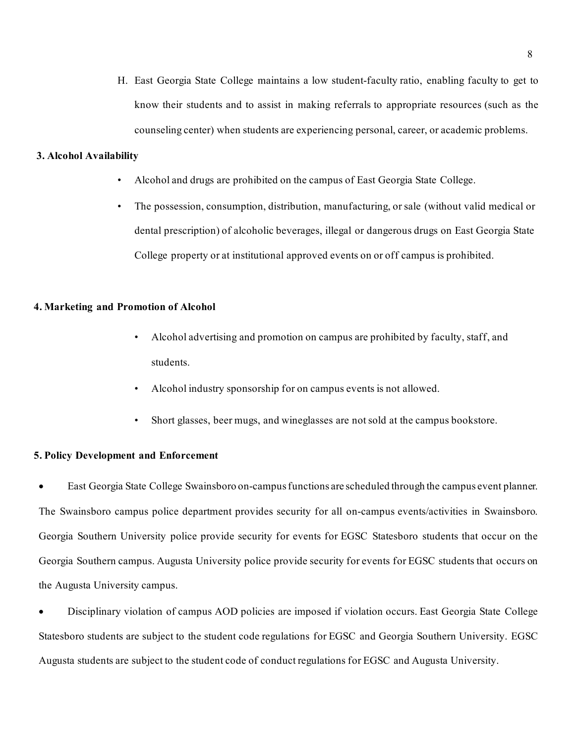H. East Georgia State College maintains a low student-faculty ratio, enabling faculty to get to know their students and to assist in making referrals to appropriate resources (such as the counseling center) when students are experiencing personal, career, or academic problems.

#### **3. Alcohol Availability**

- Alcohol and drugs are prohibited on the campus of East Georgia State College.
- The possession, consumption, distribution, manufacturing, or sale (without valid medical or dental prescription) of alcoholic beverages, illegal or dangerous drugs on East Georgia State College property or at institutional approved events on or off campus is prohibited.

#### **4. Marketing and Promotion of Alcohol**

- Alcohol advertising and promotion on campus are prohibited by faculty, staff, and students.
- Alcohol industry sponsorship for on campus events is not allowed.
- Short glasses, beer mugs, and wineglasses are not sold at the campus bookstore.

#### **5. Policy Development and Enforcement**

• East Georgia State College Swainsboro on-campus functions are scheduled through the campus event planner. The Swainsboro campus police department provides security for all on-campus events/activities in Swainsboro. Georgia Southern University police provide security for events for EGSC Statesboro students that occur on the Georgia Southern campus. Augusta University police provide security for events for EGSC students that occurs on the Augusta University campus.

• Disciplinary violation of campus AOD policies are imposed if violation occurs. East Georgia State College Statesboro students are subject to the student code regulations for EGSC and Georgia Southern University. EGSC Augusta students are subject to the student code of conduct regulations for EGSC and Augusta University.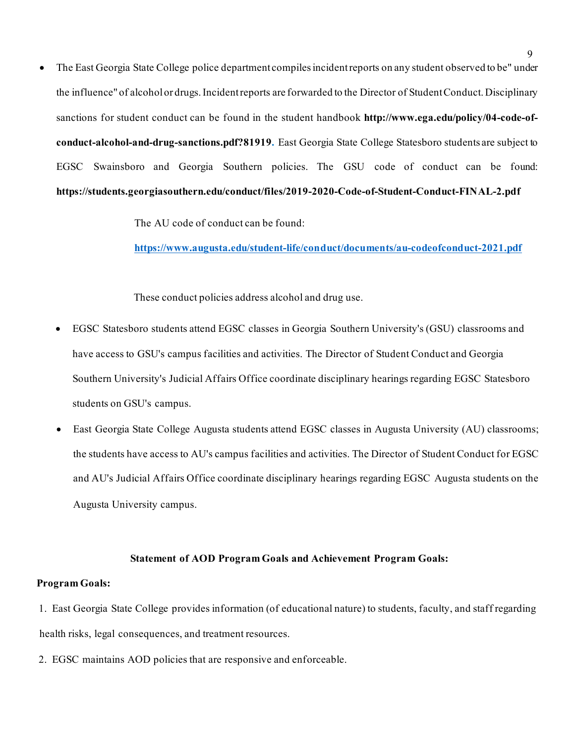• The East Georgia State College police department compiles incident reports on any student observed to be" under the influence" of alcohol or drugs. Incident reports are forwarded to the Director of Student Conduct. Disciplinary sanctions for student conduct can be found in the student handbook **http://www.ega.edu/policy/04-code-ofconduct-alcohol-and-drug-sanctions.pdf?81919.** East Georgia State College Statesboro students are subject to EGSC Swainsboro and Georgia Southern policies. The GSU code of conduct can be found: **https://students.georgiasouthern.edu/conduct/files/2019-2020-Code-of-Student-Conduct-FINAL-2.pdf**

The AU code of conduct can be found:

**<https://www.augusta.edu/student-life/conduct/documents/au-codeofconduct-2021.pdf>**

These conduct policies address alcohol and drug use.

- EGSC Statesboro students attend EGSC classes in Georgia Southern University's (GSU) classrooms and have access to GSU's campus facilities and activities. The Director of Student Conduct and Georgia Southern University's Judicial Affairs Office coordinate disciplinary hearings regarding EGSC Statesboro students on GSU's campus.
- East Georgia State College Augusta students attend EGSC classes in Augusta University (AU) classrooms; the students have access to AU's campus facilities and activities. The Director of Student Conduct for EGSC and AU's Judicial Affairs Office coordinate disciplinary hearings regarding EGSC Augusta students on the Augusta University campus.

#### **Statement of AOD Program Goals and Achievement Program Goals:**

#### **Program Goals:**

- 1. East Georgia State College provides information (of educational nature) to students, faculty, and staff regarding health risks, legal consequences, and treatment resources.
- 2. EGSC maintains AOD policies that are responsive and enforceable.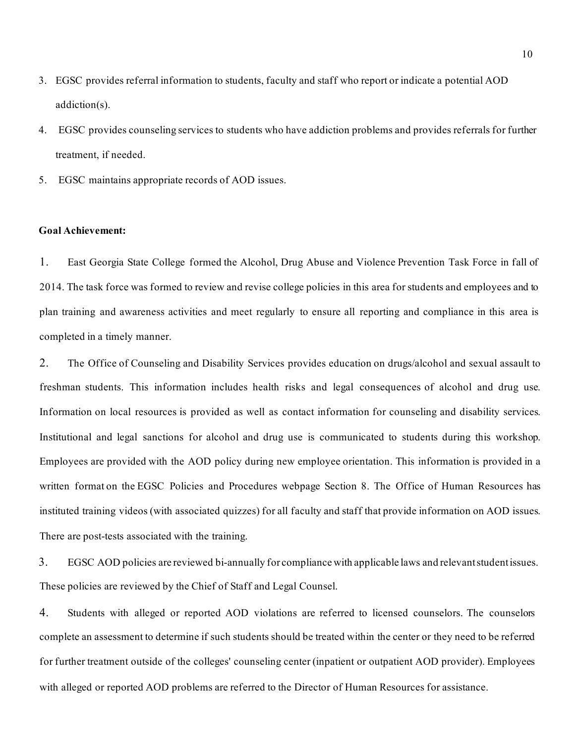- 3. EGSC provides referral information to students, faculty and staff who report or indicate a potential AOD addiction(s).
- 4. EGSC provides counseling services to students who have addiction problems and provides referrals for further treatment, if needed.
- 5. EGSC maintains appropriate records of AOD issues.

#### **Goal Achievement:**

1. East Georgia State College formed the Alcohol, Drug Abuse and Violence Prevention Task Force in fall of 2014. The task force was formed to review and revise college policies in this area for students and employees and to plan training and awareness activities and meet regularly to ensure all reporting and compliance in this area is completed in a timely manner.

2. The Office of Counseling and Disability Services provides education on drugs/alcohol and sexual assault to freshman students. This information includes health risks and legal consequences of alcohol and drug use. Information on local resources is provided as well as contact information for counseling and disability services. Institutional and legal sanctions for alcohol and drug use is communicated to students during this workshop. Employees are provided with the AOD policy during new employee orientation. This information is provided in a written format on the EGSC Policies and Procedures webpage Section 8. The Office of Human Resources has instituted training videos (with associated quizzes) for all faculty and staff that provide information on AOD issues. There are post-tests associated with the training.

3. EGSC AOD policies are reviewed bi-annually for compliance with applicable laws and relevant student issues. These policies are reviewed by the Chief of Staff and Legal Counsel.

4. Students with alleged or reported AOD violations are referred to licensed counselors. The counselors complete an assessment to determine if such students should be treated within the center or they need to be referred for further treatment outside of the colleges' counseling center (inpatient or outpatient AOD provider). Employees with alleged or reported AOD problems are referred to the Director of Human Resources for assistance.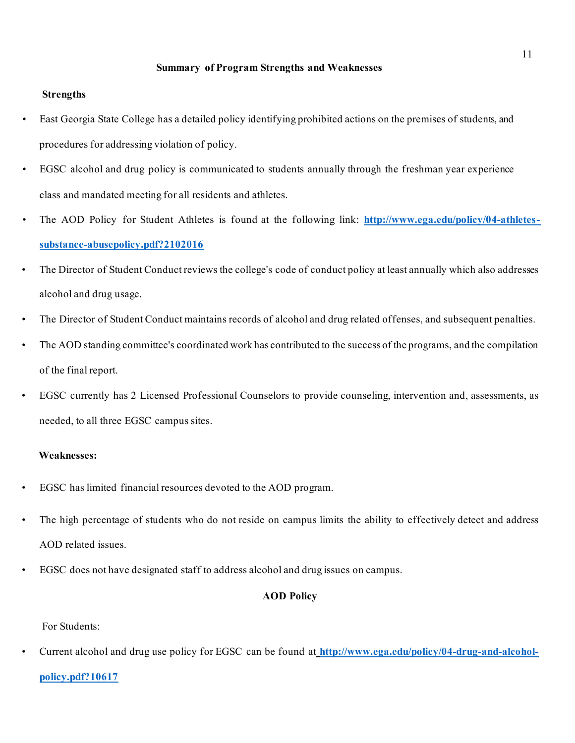#### **Summary of Program Strengths and Weaknesses**

#### **Strengths**

- East Georgia State College has a detailed policy identifying prohibited actions on the premises of students, and procedures for addressing violation of policy.
- EGSC alcohol and drug policy is communicated to students annually through the freshman year experience class and mandated meeting for all residents and athletes.
- The AOD Policy for Student Athletes is found at the following link: **[http://www.ega.edu/policy/04-athletes](http://www.ega.edu/policy/04-athletes-substance-abusepolicy.pdf?2102016)[substance-abusepolicy.pdf?2102016](http://www.ega.edu/policy/04-athletes-substance-abusepolicy.pdf?2102016)**
- The Director of Student Conduct reviews the college's code of conduct policy at least annually which also addresses alcohol and drug usage.
- The Director of Student Conduct maintains records of alcohol and drug related offenses, and subsequent penalties.
- The AOD standing committee's coordinated work has contributed to the success of the programs, and the compilation of the final report.
- EGSC currently has 2 Licensed Professional Counselors to provide counseling, intervention and, assessments, as needed, to all three EGSC campus sites.

#### **Weaknesses:**

- EGSC has limited financial resources devoted to the AOD program.
- The high percentage of students who do not reside on campus limits the ability to effectively detect and address AOD related issues.
- EGSC does not have designated staff to address alcohol and drug issues on campus.

#### **AOD Policy**

For Students:

• Current alcohol and drug use policy for EGSC can be found at **[http://www.ega.edu/policy/04-drug-and-alcohol-](http://www.ega.edu/policy/04-drug-and-alcohol-policy.pdf?10617)**

#### **[policy.pdf?10617](http://www.ega.edu/policy/04-drug-and-alcohol-policy.pdf?10617)**

11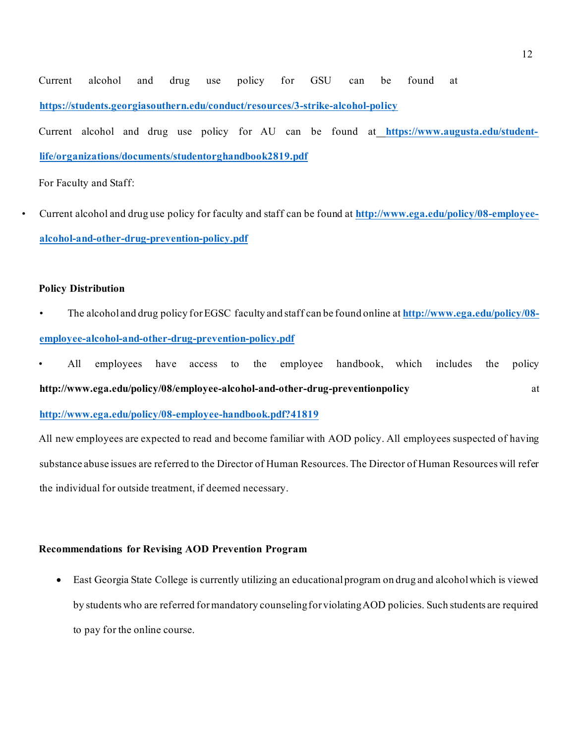Current alcohol and drug use policy for GSU can be found at **<https://students.georgiasouthern.edu/conduct/resources/3-strike-alcohol-policy>**

Current alcohol and drug use policy for AU can be found at **[https://www.augusta.edu/student](https://www.augusta.edu/student-life/organizations/documents/studentorghandbook2819.pdf)[life/organizations/documents/studentorghandbook2819.pdf](https://www.augusta.edu/student-life/organizations/documents/studentorghandbook2819.pdf)**

For Faculty and Staff:

• Current alcohol and drug use policy for faculty and staff can be found at **[http://www.ega.edu/policy/08-employee](http://www.ega.edu/policy/08-employee-alcohol-and-other-drug-prevention-policy.pdf)[alcohol-and-other-drug-prevention-policy.pdf](http://www.ega.edu/policy/08-employee-alcohol-and-other-drug-prevention-policy.pdf)**

#### **Policy Distribution**

- The alcohol and drug policy for EGSC faculty and staff can be found online at **[http://www.ega.edu/policy/08](http://www.ega.edu/policy/08-employee-alcohol-and-other-drug-prevention-policy.pdf) [employee-alcohol-and-other-drug-prevention-policy.pdf](http://www.ega.edu/policy/08-employee-alcohol-and-other-drug-prevention-policy.pdf)**
- All employees have access to the employee handbook, which includes the policy **<http://www.ega.edu/policy/08/employee-alcohol-and-other-drug-preventionpolicy>** at

**<http://www.ega.edu/policy/08-employee-handbook.pdf?41819>**

All new employees are expected to read and become familiar with AOD policy. All employees suspected of having substance abuse issues are referred to the Director of Human Resources. The Director of Human Resources will refer the individual for outside treatment, if deemed necessary.

### **Recommendations for Revising AOD Prevention Program**

• East Georgia State College is currently utilizing an educational program on drug and alcohol which is viewed by students who are referred for mandatory counseling for violating AOD policies. Such students are required to pay for the online course.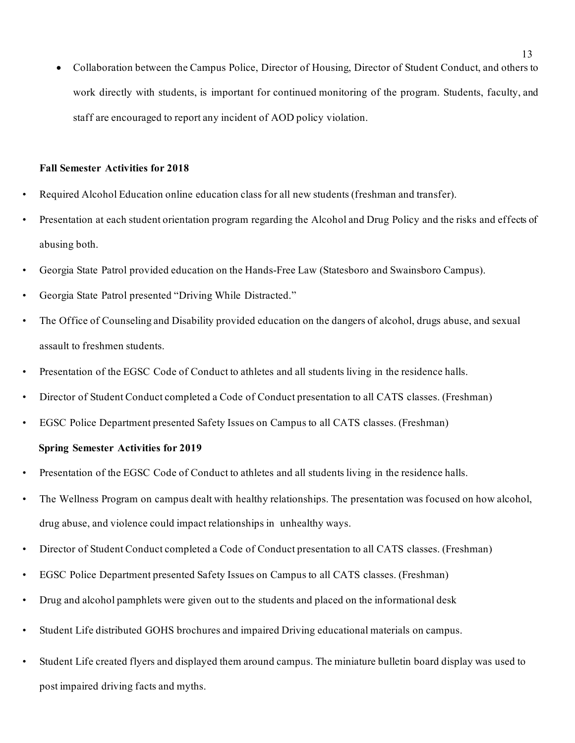• Collaboration between the Campus Police, Director of Housing, Director of Student Conduct, and others to work directly with students, is important for continued monitoring of the program. Students, faculty, and staff are encouraged to report any incident of AOD policy violation.

#### **Fall Semester Activities for 2018**

- Required Alcohol Education online education class for all new students (freshman and transfer).
- Presentation at each student orientation program regarding the Alcohol and Drug Policy and the risks and effects of abusing both.
- Georgia State Patrol provided education on the Hands-Free Law (Statesboro and Swainsboro Campus).
- Georgia State Patrol presented "Driving While Distracted."
- The Office of Counseling and Disability provided education on the dangers of alcohol, drugs abuse, and sexual assault to freshmen students.
- Presentation of the EGSC Code of Conduct to athletes and all students living in the residence halls.
- Director of Student Conduct completed a Code of Conduct presentation to all CATS classes. (Freshman)
- EGSC Police Department presented Safety Issues on Campus to all CATS classes. (Freshman)

#### **Spring Semester Activities for 2019**

- Presentation of the EGSC Code of Conduct to athletes and all students living in the residence halls.
- The Wellness Program on campus dealt with healthy relationships. The presentation was focused on how alcohol, drug abuse, and violence could impact relationships in unhealthy ways.
- Director of Student Conduct completed a Code of Conduct presentation to all CATS classes. (Freshman)
- EGSC Police Department presented Safety Issues on Campus to all CATS classes. (Freshman)
- Drug and alcohol pamphlets were given out to the students and placed on the informational desk
- Student Life distributed GOHS brochures and impaired Driving educational materials on campus.
- Student Life created flyers and displayed them around campus. The miniature bulletin board display was used to post impaired driving facts and myths.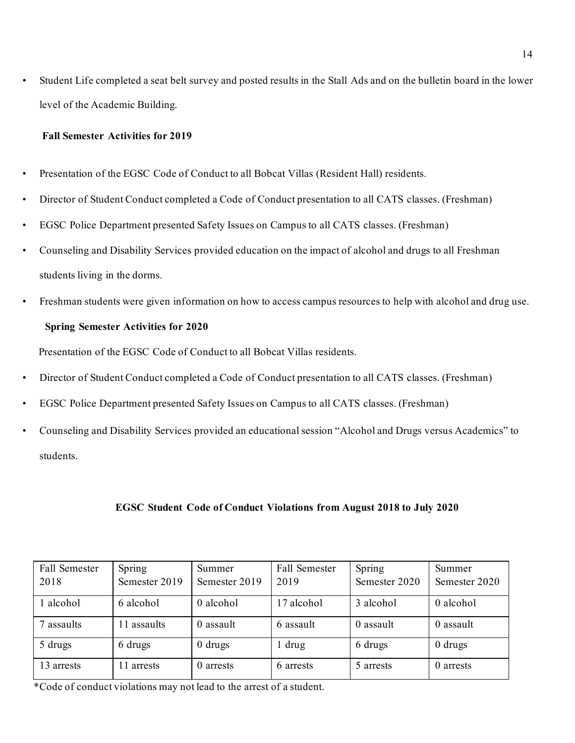• Student Life completed a seat belt survey and posted results in the Stall Ads and on the bulletin board in the lower level of the Academic Building.

#### **Fall Semester Activities for 2019**

- Presentation of the EGSC Code of Conduct to all Bobcat Villas (Resident Hall) residents.
- Director of Student Conduct completed a Code of Conduct presentation to all CATS classes. (Freshman)
- EGSC Police Department presented Safety Issues on Campus to all CATS classes. (Freshman)
- Counseling and Disability Services provided education on the impact of alcohol and drugs to all Freshman students living in the dorms.
- Freshman students were given information on how to access campus resources to help with alcohol and drug use.

## **Spring Semester Activities for 2020**

Presentation of the EGSC Code of Conduct to all Bobcat Villas residents.

- Director of Student Conduct completed a Code of Conduct presentation to all CATS classes. (Freshman)
- EGSC Police Department presented Safety Issues on Campus to all CATS classes. (Freshman)
- Counseling and Disability Services provided an educational session "Alcohol and Drugs versus Academics" to students.

#### **EGSC Student Code of Conduct Violations from August 2018 to July 2020**

| Fall Semester | Spring        | Summer        | <b>Fall Semester</b> | Spring        | Summer        |
|---------------|---------------|---------------|----------------------|---------------|---------------|
| 2018          | Semester 2019 | Semester 2019 | 2019                 | Semester 2020 | Semester 2020 |
| alcohol       | 6 alcohol     | 0 alcohol     | 17 alcohol           | 3 alcohol     | 0 alcohol     |
| assaults      | 11 assaults   | 0 assault     | 6 assault            | 0 assault     | 0 assault     |
| 5 drugs       | 6 drugs       | $0$ drugs     | 1 drug               | 6 drugs       | $0$ drugs     |
| 13 arrests    | 11 arrests    | 0 arrests     | 6 arrests            | 5 arrests     | 0 arrests     |

\*Code of conduct violations may not lead to the arrest of a student.